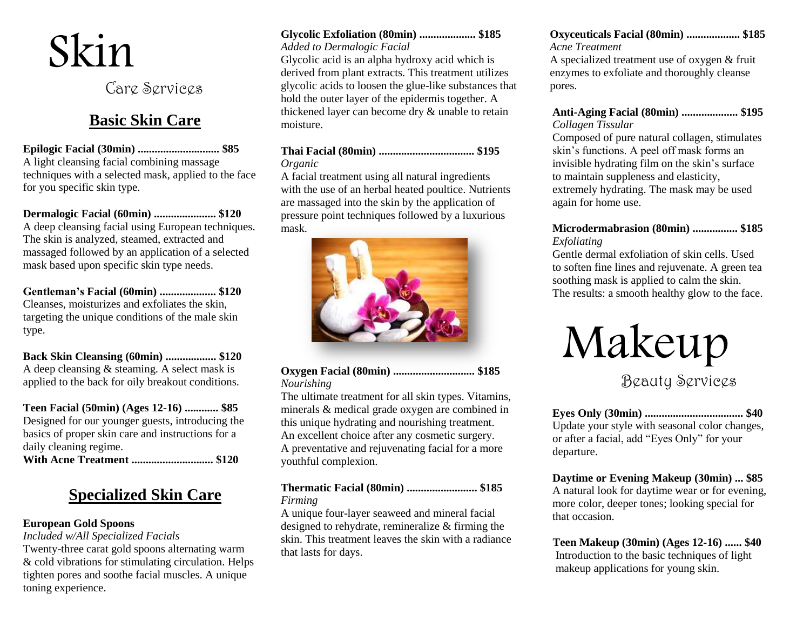# Skin

Care Services

## **Basic Skin Care**

**Epilogic Facial (30min) ............................. \$85** A light cleansing facial combining massage techniques with a selected mask, applied to the face for you specific skin type.

#### **Dermalogic Facial (60min) ...................... \$120** A deep cleansing facial using European techniques. The skin is analyzed, steamed, extracted and massaged followed by an application of a selected mask based upon specific skin type needs.

**Gentleman's Facial (60min) .................... \$120** Cleanses, moisturizes and exfoliates the skin, targeting the unique conditions of the male skin type.

**Back Skin Cleansing (60min) .................. \$120** A deep cleansing & steaming. A select mask is applied to the back for oily breakout conditions.

**Teen Facial (50min) (Ages 12-16) ............ \$85** Designed for our younger guests, introducing the basics of proper skin care and instructions for a daily cleaning regime.

**With Acne Treatment ............................. \$120**

# **Specialized Skin Care**

## **European Gold Spoons**

*Included w/All Specialized Facials*

Twenty-three carat gold spoons alternating warm & cold vibrations for stimulating circulation. Helps tighten pores and soothe facial muscles. A unique toning experience.

#### **Glycolic Exfoliation (80min) .................... \$185**

#### *Added to Dermalogic Facial*

Glycolic acid is an alpha hydroxy acid which is derived from plant extracts. This treatment utilizes glycolic acids to loosen the glue-like substances that hold the outer layer of the epidermis together. A thickened layer can become dry & unable to retain moisture.

#### **Thai Facial (80min) .................................. \$195** *Organic*

A facial treatment using all natural ingredients with the use of an herbal heated poultice. Nutrients are massaged into the skin by the application of pressure point techniques followed by a luxurious mask.



### **Oxygen Facial (80min) ............................. \$185** *Nourishing*

The ultimate treatment for all skin types. Vitamins, minerals & medical grade oxygen are combined in this unique hydrating and nourishing treatment. An excellent choice after any cosmetic surgery. A preventative and rejuvenating facial for a more youthful complexion.

### **Thermatic Facial (80min) ......................... \$185** *Firming*

A unique four-layer seaweed and mineral facial designed to rehydrate, remineralize & firming the skin. This treatment leaves the skin with a radiance that lasts for days.

#### **Oxyceuticals Facial (80min) ................... \$185**  *Acne Treatment*

 A specialized treatment use of oxygen & fruit enzymes to exfoliate and thoroughly cleanse pores.

#### **Anti-Aging Facial (80min) .................... \$195** *Collagen Tissular*

Composed of pure natural collagen, stimulates skin's functions. A peel off mask forms an invisible hydrating film on the skin's surface to maintain suppleness and elasticity, extremely hydrating. The mask may be used again for home use.

#### **Microdermabrasion (80min) ................ \$185** *Exfoliating*

Gentle dermal exfoliation of skin cells. Used to soften fine lines and rejuvenate. A green tea soothing mask is applied to calm the skin. The results: a smooth healthy glow to the face.



## Beauty Services

**Eyes Only (30min) ................................... \$40** Update your style with seasonal color changes, or after a facial, add "Eyes Only" for your departure.

**Daytime or Evening Makeup (30min) ... \$85** A natural look for daytime wear or for evening, more color, deeper tones; looking special for that occasion.

 **Teen Makeup (30min) (Ages 12-16) ...... \$40** Introduction to the basic techniques of light makeup applications for young skin.